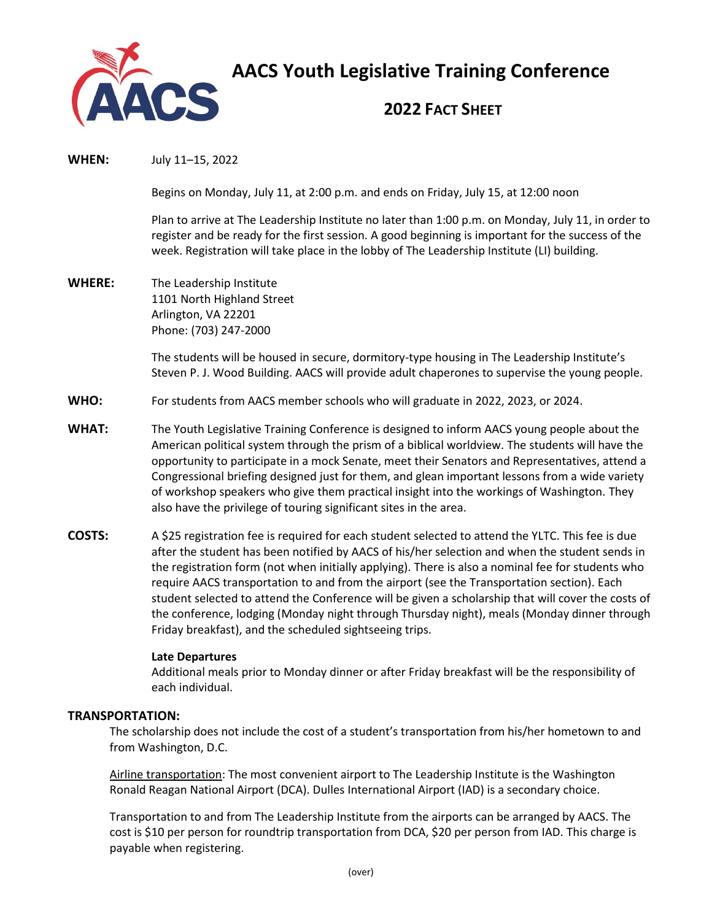

**AACS Youth Legislative Training Conference**

# **2022 FACT SHEET**

**WHEN:** July 11–15, 2022

Begins on Monday, July 11, at 2:00 p.m. and ends on Friday, July 15, at 12:00 noon

Plan to arrive at The Leadership Institute no later than 1:00 p.m. on Monday, July 11, in order to register and be ready for the first session. A good beginning is important for the success of the week. Registration will take place in the lobby of The Leadership Institute (LI) building.

**WHERE:** The Leadership Institute 1101 North Highland Street Arlington, VA 22201 Phone: (703) 247-2000

> The students will be housed in secure, dormitory-type housing in The Leadership Institute's Steven P. J. Wood Building. AACS will provide adult chaperones to supervise the young people.

- **WHO:** For students from AACS member schools who will graduate in 2022, 2023, or 2024.
- **WHAT:** The Youth Legislative Training Conference is designed to inform AACS young people about the American political system through the prism of a biblical worldview. The students will have the opportunity to participate in a mock Senate, meet their Senators and Representatives, attend a Congressional briefing designed just for them, and glean important lessons from a wide variety of workshop speakers who give them practical insight into the workings of Washington. They also have the privilege of touring significant sites in the area.
- **COSTS:** A \$25 registration fee is required for each student selected to attend the YLTC. This fee is due after the student has been notified by AACS of his/her selection and when the student sends in the registration form (not when initially applying). There is also a nominal fee for students who require AACS transportation to and from the airport (see the Transportation section). Each student selected to attend the Conference will be given a scholarship that will cover the costs of the conference, lodging (Monday night through Thursday night), meals (Monday dinner through Friday breakfast), and the scheduled sightseeing trips.

#### **Late Departures**

Additional meals prior to Monday dinner or after Friday breakfast will be the responsibility of each individual.

## **TRANSPORTATION:**

The scholarship does not include the cost of a student's transportation from his/her hometown to and from Washington, D.C.

Airline transportation: The most convenient airport to The Leadership Institute is the Washington Ronald Reagan National Airport (DCA). Dulles International Airport (IAD) is a secondary choice.

Transportation to and from The Leadership Institute from the airports can be arranged by AACS. The cost is \$10 per person for roundtrip transportation from DCA, \$20 per person from IAD. This charge is payable when registering.